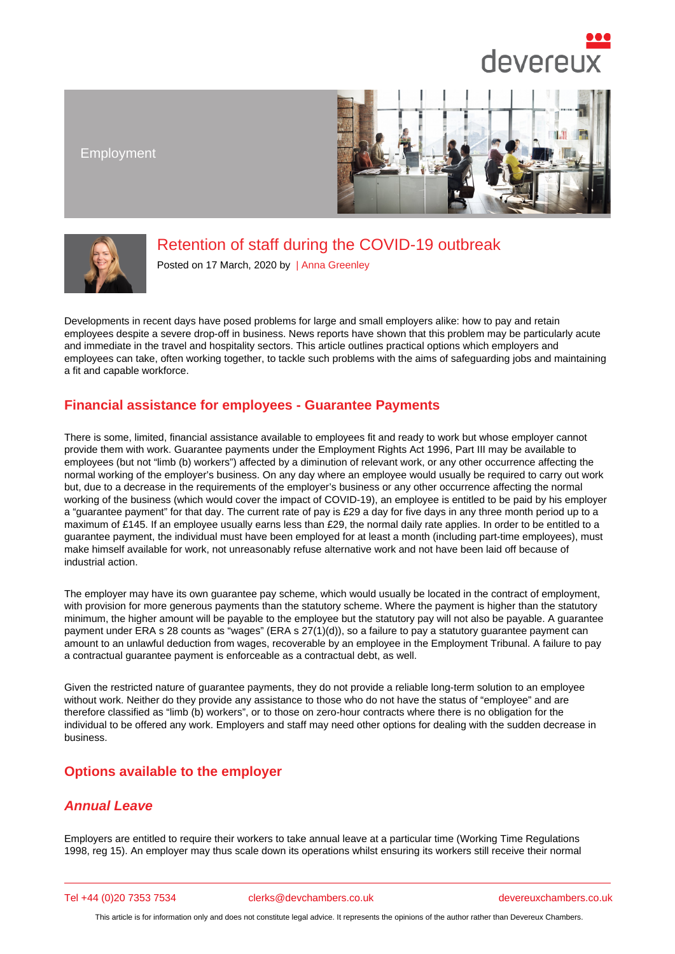Employment

# Retention of staff during the COVID-19 outbreak

Posted on 17 March, 2020 by | Anna Greenley

Developments in recent days have posed problems [for large and sma](/barristers/profile/anna-greenley)ll employers alike: how to pay and retain employees despite a severe drop-off in business. News reports have shown that this problem may be particularly acute and immediate in the travel and hospitality sectors. This article outlines practical options which employers and employees can take, often working together, to tackle such problems with the aims of safeguarding jobs and maintaining a fit and capable workforce.

## Financial assistance for employees - Guarantee Payments

There is some, limited, financial assistance available to employees fit and ready to work but whose employer cannot provide them with work. Guarantee payments under the Employment Rights Act 1996, Part III may be available to employees (but not "limb (b) workers") affected by a diminution of relevant work, or any other occurrence affecting the normal working of the employer's business. On any day where an employee would usually be required to carry out work but, due to a decrease in the requirements of the employer's business or any other occurrence affecting the normal working of the business (which would cover the impact of COVID-19), an employee is entitled to be paid by his employer a "guarantee payment" for that day. The current rate of pay is £29 a day for five days in any three month period up to a maximum of £145. If an employee usually earns less than £29, the normal daily rate applies. In order to be entitled to a guarantee payment, the individual must have been employed for at least a month (including part-time employees), must make himself available for work, not unreasonably refuse alternative work and not have been laid off because of industrial action.

The employer may have its own guarantee pay scheme, which would usually be located in the contract of employment, with provision for more generous payments than the statutory scheme. Where the payment is higher than the statutory minimum, the higher amount will be payable to the employee but the statutory pay will not also be payable. A guarantee payment under ERA s 28 counts as "wages" (ERA s 27(1)(d)), so a failure to pay a statutory guarantee payment can amount to an unlawful deduction from wages, recoverable by an employee in the Employment Tribunal. A failure to pay a contractual guarantee payment is enforceable as a contractual debt, as well.

Given the restricted nature of guarantee payments, they do not provide a reliable long-term solution to an employee without work. Neither do they provide any assistance to those who do not have the status of "employee" and are therefore classified as "limb (b) workers", or to those on zero-hour contracts where there is no obligation for the individual to be offered any work. Employers and staff may need other options for dealing with the sudden decrease in business.

#### Options available to the employer

#### Annual Leave

Employers are entitled to require their workers to take annual leave at a particular time (Working Time Regulations 1998, reg 15). An employer may thus scale down its operations whilst ensuring its workers still receive their normal

Tel +44 (0)20 7353 7534 clerks@devchambers.co.uk devereuxchambers.co.uk

This article is for information only and does not constitute legal advice. It represents the opinions of the author rather than Devereux Chambers.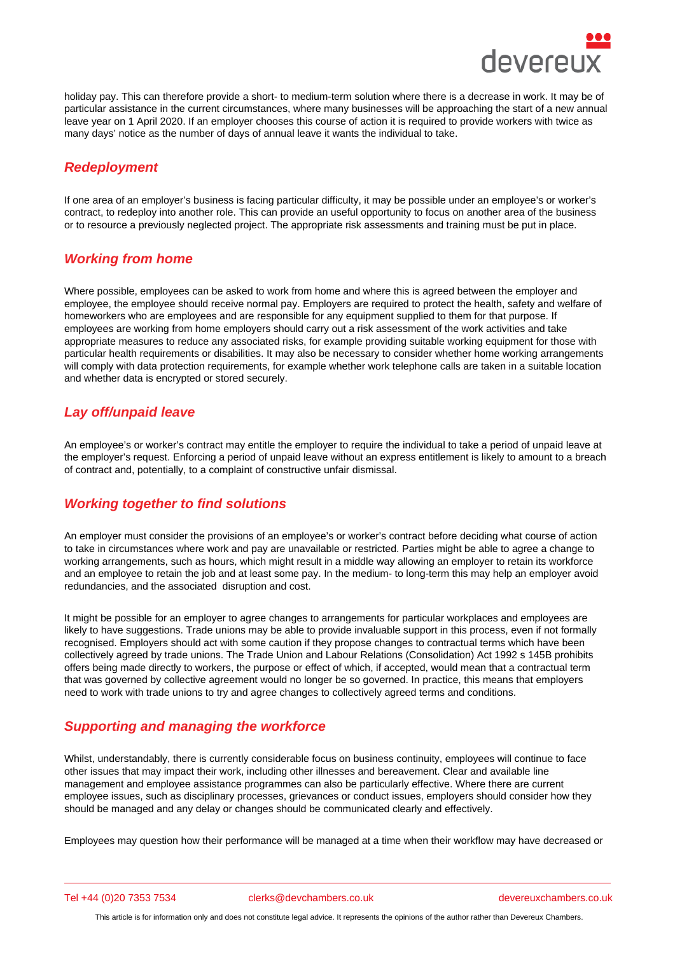holiday pay. This can therefore provide a short- to medium-term solution where there is a decrease in work. It may be of particular assistance in the current circumstances, where many businesses will be approaching the start of a new annual leave year on 1 April 2020. If an employer chooses this course of action it is required to provide workers with twice as many days' notice as the number of days of annual leave it wants the individual to take.

## Redeployment

If one area of an employer's business is facing particular difficulty, it may be possible under an employee's or worker's contract, to redeploy into another role. This can provide an useful opportunity to focus on another area of the business or to resource a previously neglected project. The appropriate risk assessments and training must be put in place.

## Working from home

Where possible, employees can be asked to work from home and where this is agreed between the employer and employee, the employee should receive normal pay. Employers are required to protect the health, safety and welfare of homeworkers who are employees and are responsible for any equipment supplied to them for that purpose. If employees are working from home employers should carry out a risk assessment of the work activities and take appropriate measures to reduce any associated risks, for example providing suitable working equipment for those with particular health requirements or disabilities. It may also be necessary to consider whether home working arrangements will comply with data protection requirements, for example whether work telephone calls are taken in a suitable location and whether data is encrypted or stored securely.

## Lay off/unpaid leave

An employee's or worker's contract may entitle the employer to require the individual to take a period of unpaid leave at the employer's request. Enforcing a period of unpaid leave without an express entitlement is likely to amount to a breach of contract and, potentially, to a complaint of constructive unfair dismissal.

## Working together to find solutions

An employer must consider the provisions of an employee's or worker's contract before deciding what course of action to take in circumstances where work and pay are unavailable or restricted. Parties might be able to agree a change to working arrangements, such as hours, which might result in a middle way allowing an employer to retain its workforce and an employee to retain the job and at least some pay. In the medium- to long-term this may help an employer avoid redundancies, and the associated disruption and cost.

It might be possible for an employer to agree changes to arrangements for particular workplaces and employees are likely to have suggestions. Trade unions may be able to provide invaluable support in this process, even if not formally recognised. Employers should act with some caution if they propose changes to contractual terms which have been collectively agreed by trade unions. The Trade Union and Labour Relations (Consolidation) Act 1992 s 145B prohibits offers being made directly to workers, the purpose or effect of which, if accepted, would mean that a contractual term that was governed by collective agreement would no longer be so governed. In practice, this means that employers need to work with trade unions to try and agree changes to collectively agreed terms and conditions.

## Supporting and managing the workforce

Whilst, understandably, there is currently considerable focus on business continuity, employees will continue to face other issues that may impact their work, including other illnesses and bereavement. Clear and available line management and employee assistance programmes can also be particularly effective. Where there are current employee issues, such as disciplinary processes, grievances or conduct issues, employers should consider how they should be managed and any delay or changes should be communicated clearly and effectively.

Employees may question how their performance will be managed at a time when their workflow may have decreased or

Tel +44 (0)20 7353 7534 clerks@devchambers.co.uk devereuxchambers.co.uk

This article is for information only and does not constitute legal advice. It represents the opinions of the author rather than Devereux Chambers.